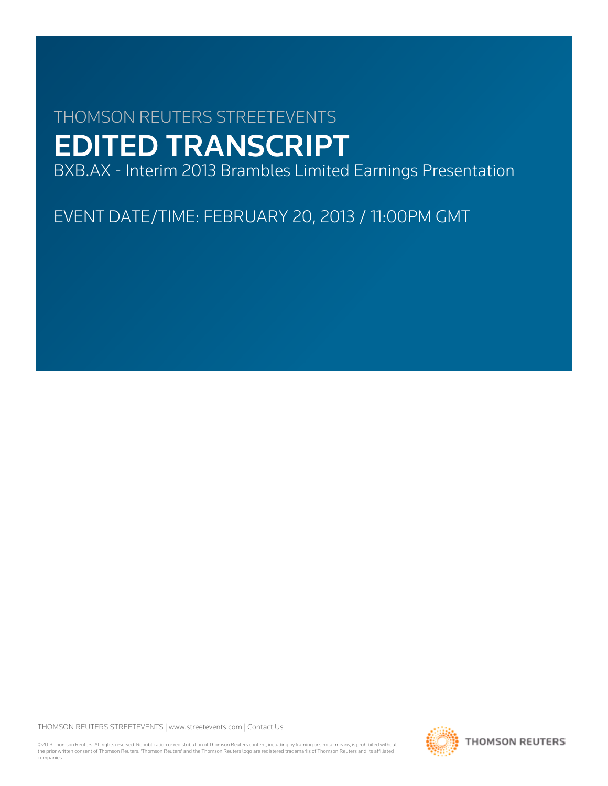# THOMSON REUTERS STREETEVENTS EDITED TRANSCRIPT

BXB.AX - Interim 2013 Brambles Limited Earnings Presentation

EVENT DATE/TIME: FEBRUARY 20, 2013 / 11:00PM GMT

THOMSON REUTERS STREETEVENTS | [www.streetevents.com](http://www.streetevents.com) | [Contact Us](http://www010.streetevents.com/contact.asp)

©2013 Thomson Reuters. All rights reserved. Republication or redistribution of Thomson Reuters content, including by framing or similar means, is prohibited without the prior written consent of Thomson Reuters. 'Thomson Reuters' and the Thomson Reuters logo are registered trademarks of Thomson Reuters and its affiliated companies.

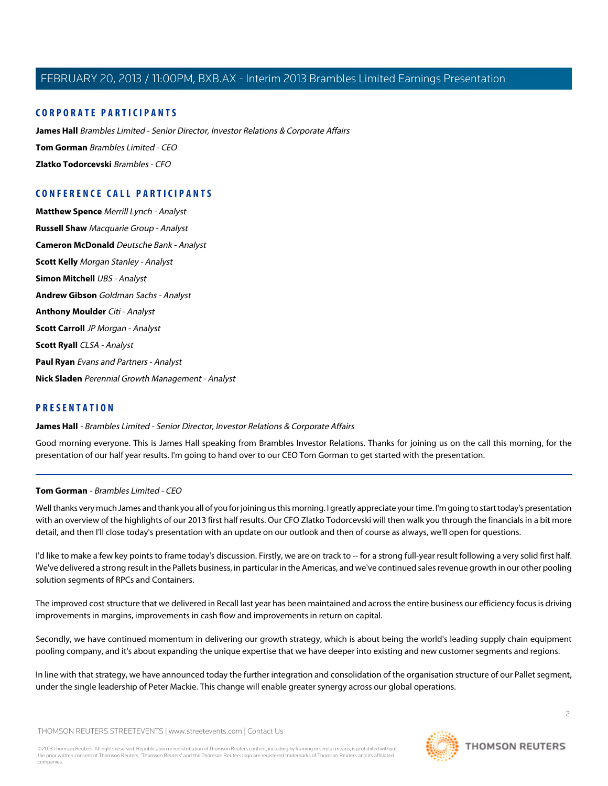# **CORPORATE PARTICIPANTS**

**[James Hall](#page-1-0)** Brambles Limited - Senior Director, Investor Relations & Corporate Affairs **[Tom Gorman](#page-1-1)** Brambles Limited - CEO **[Zlatko Todorcevski](#page-4-0)** Brambles - CFO

# **CONFERENCE CALL PARTICIPANTS**

**[Matthew Spence](#page-10-0)** Merrill Lynch - Analyst **[Russell Shaw](#page-11-0)** Macquarie Group - Analyst **[Cameron McDonald](#page-12-0)** Deutsche Bank - Analyst **[Scott Kelly](#page-13-0)** Morgan Stanley - Analyst **[Simon Mitchell](#page-13-1)** UBS - Analyst **[Andrew Gibson](#page-14-0)** Goldman Sachs - Analyst **[Anthony Moulder](#page-15-0)** Citi - Analyst **[Scott Carroll](#page-16-0)** JP Morgan - Analyst **[Scott Ryall](#page-17-0)** CLSA - Analyst **[Paul Ryan](#page-18-0)** Evans and Partners - Analyst **[Nick Sladen](#page-20-0)** Perennial Growth Management - Analyst

# <span id="page-1-0"></span>**PRESENTATION**

**James Hall** - Brambles Limited - Senior Director, Investor Relations & Corporate Affairs

<span id="page-1-1"></span>Good morning everyone. This is James Hall speaking from Brambles Investor Relations. Thanks for joining us on the call this morning, for the presentation of our half year results. I'm going to hand over to our CEO Tom Gorman to get started with the presentation.

# **Tom Gorman** - Brambles Limited - CEO

Well thanks very much James and thank you all of you for joining us this morning. I greatly appreciate your time. I'm going to start today's presentation with an overview of the highlights of our 2013 first half results. Our CFO Zlatko Todorcevski will then walk you through the financials in a bit more detail, and then I'll close today's presentation with an update on our outlook and then of course as always, we'll open for questions.

I'd like to make a few key points to frame today's discussion. Firstly, we are on track to -- for a strong full-year result following a very solid first half. We've delivered a strong result in the Pallets business, in particular in the Americas, and we've continued sales revenue growth in our other pooling solution segments of RPCs and Containers.

The improved cost structure that we delivered in Recall last year has been maintained and across the entire business our efficiency focus is driving improvements in margins, improvements in cash flow and improvements in return on capital.

Secondly, we have continued momentum in delivering our growth strategy, which is about being the world's leading supply chain equipment pooling company, and it's about expanding the unique expertise that we have deeper into existing and new customer segments and regions.

In line with that strategy, we have announced today the further integration and consolidation of the organisation structure of our Pallet segment, under the single leadership of Peter Mackie. This change will enable greater synergy across our global operations.

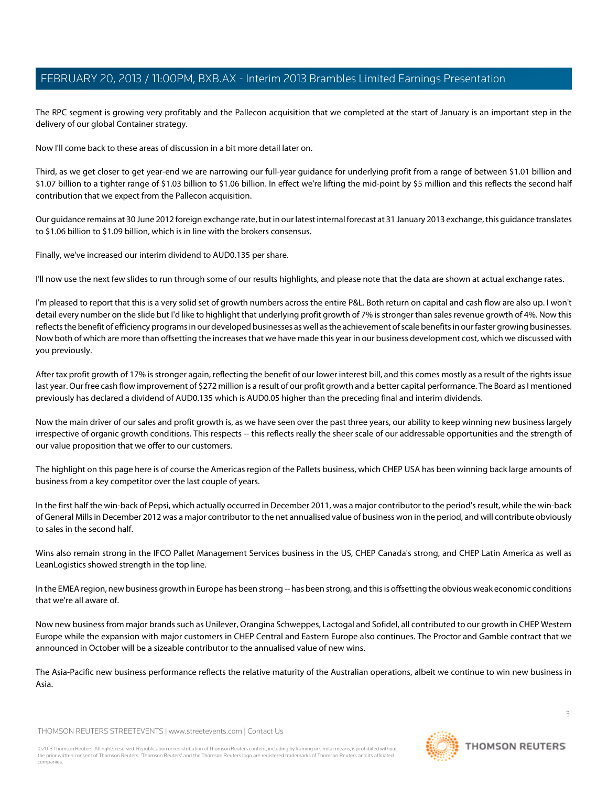The RPC segment is growing very profitably and the Pallecon acquisition that we completed at the start of January is an important step in the delivery of our global Container strategy.

Now I'll come back to these areas of discussion in a bit more detail later on.

Third, as we get closer to get year-end we are narrowing our full-year guidance for underlying profit from a range of between \$1.01 billion and \$1.07 billion to a tighter range of \$1.03 billion to \$1.06 billion. In effect we're lifting the mid-point by \$5 million and this reflects the second half contribution that we expect from the Pallecon acquisition.

Our guidance remains at 30 June 2012 foreign exchange rate, but in our latest internal forecast at 31 January 2013 exchange, this guidance translates to \$1.06 billion to \$1.09 billion, which is in line with the brokers consensus.

Finally, we've increased our interim dividend to AUD0.135 per share.

I'll now use the next few slides to run through some of our results highlights, and please note that the data are shown at actual exchange rates.

I'm pleased to report that this is a very solid set of growth numbers across the entire P&L. Both return on capital and cash flow are also up. I won't detail every number on the slide but I'd like to highlight that underlying profit growth of 7% is stronger than sales revenue growth of 4%. Now this reflects the benefit of efficiency programs in our developed businesses as well as the achievement of scale benefits in our faster growing businesses. Now both of which are more than offsetting the increases that we have made this year in our business development cost, which we discussed with you previously.

After tax profit growth of 17% is stronger again, reflecting the benefit of our lower interest bill, and this comes mostly as a result of the rights issue last year. Our free cash flow improvement of \$272 million is a result of our profit growth and a better capital performance. The Board as I mentioned previously has declared a dividend of AUD0.135 which is AUD0.05 higher than the preceding final and interim dividends.

Now the main driver of our sales and profit growth is, as we have seen over the past three years, our ability to keep winning new business largely irrespective of organic growth conditions. This respects -- this reflects really the sheer scale of our addressable opportunities and the strength of our value proposition that we offer to our customers.

The highlight on this page here is of course the Americas region of the Pallets business, which CHEP USA has been winning back large amounts of business from a key competitor over the last couple of years.

In the first half the win-back of Pepsi, which actually occurred in December 2011, was a major contributor to the period's result, while the win-back of General Mills in December 2012 was a major contributor to the net annualised value of business won in the period, and will contribute obviously to sales in the second half.

Wins also remain strong in the IFCO Pallet Management Services business in the US, CHEP Canada's strong, and CHEP Latin America as well as LeanLogistics showed strength in the top line.

In the EMEA region, new business growth in Europe has been strong -- has been strong, and this is offsetting the obvious weak economic conditions that we're all aware of.

Now new business from major brands such as Unilever, Orangina Schweppes, Lactogal and Sofidel, all contributed to our growth in CHEP Western Europe while the expansion with major customers in CHEP Central and Eastern Europe also continues. The Proctor and Gamble contract that we announced in October will be a sizeable contributor to the annualised value of new wins.

The Asia-Pacific new business performance reflects the relative maturity of the Australian operations, albeit we continue to win new business in Asia.

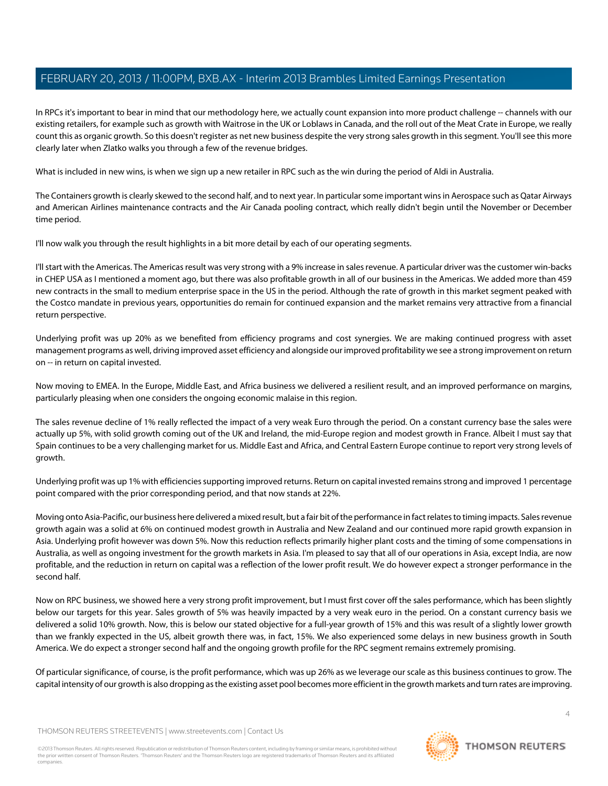In RPCs it's important to bear in mind that our methodology here, we actually count expansion into more product challenge -- channels with our existing retailers, for example such as growth with Waitrose in the UK or Loblaws in Canada, and the roll out of the Meat Crate in Europe, we really count this as organic growth. So this doesn't register as net new business despite the very strong sales growth in this segment. You'll see this more clearly later when Zlatko walks you through a few of the revenue bridges.

What is included in new wins, is when we sign up a new retailer in RPC such as the win during the period of Aldi in Australia.

The Containers growth is clearly skewed to the second half, and to next year. In particular some important wins in Aerospace such as Qatar Airways and American Airlines maintenance contracts and the Air Canada pooling contract, which really didn't begin until the November or December time period.

I'll now walk you through the result highlights in a bit more detail by each of our operating segments.

I'll start with the Americas. The Americas result was very strong with a 9% increase in sales revenue. A particular driver was the customer win-backs in CHEP USA as I mentioned a moment ago, but there was also profitable growth in all of our business in the Americas. We added more than 459 new contracts in the small to medium enterprise space in the US in the period. Although the rate of growth in this market segment peaked with the Costco mandate in previous years, opportunities do remain for continued expansion and the market remains very attractive from a financial return perspective.

Underlying profit was up 20% as we benefited from efficiency programs and cost synergies. We are making continued progress with asset management programs as well, driving improved asset efficiency and alongside our improved profitability we see a strong improvement on return on -- in return on capital invested.

Now moving to EMEA. In the Europe, Middle East, and Africa business we delivered a resilient result, and an improved performance on margins, particularly pleasing when one considers the ongoing economic malaise in this region.

The sales revenue decline of 1% really reflected the impact of a very weak Euro through the period. On a constant currency base the sales were actually up 5%, with solid growth coming out of the UK and Ireland, the mid-Europe region and modest growth in France. Albeit I must say that Spain continues to be a very challenging market for us. Middle East and Africa, and Central Eastern Europe continue to report very strong levels of growth.

Underlying profit was up 1% with efficiencies supporting improved returns. Return on capital invested remains strong and improved 1 percentage point compared with the prior corresponding period, and that now stands at 22%.

Moving onto Asia-Pacific, our business here delivered a mixed result, but a fair bit of the performance in fact relates to timing impacts. Sales revenue growth again was a solid at 6% on continued modest growth in Australia and New Zealand and our continued more rapid growth expansion in Asia. Underlying profit however was down 5%. Now this reduction reflects primarily higher plant costs and the timing of some compensations in Australia, as well as ongoing investment for the growth markets in Asia. I'm pleased to say that all of our operations in Asia, except India, are now profitable, and the reduction in return on capital was a reflection of the lower profit result. We do however expect a stronger performance in the second half.

Now on RPC business, we showed here a very strong profit improvement, but I must first cover off the sales performance, which has been slightly below our targets for this year. Sales growth of 5% was heavily impacted by a very weak euro in the period. On a constant currency basis we delivered a solid 10% growth. Now, this is below our stated objective for a full-year growth of 15% and this was result of a slightly lower growth than we frankly expected in the US, albeit growth there was, in fact, 15%. We also experienced some delays in new business growth in South America. We do expect a stronger second half and the ongoing growth profile for the RPC segment remains extremely promising.

Of particular significance, of course, is the profit performance, which was up 26% as we leverage our scale as this business continues to grow. The capital intensity of our growth is also dropping as the existing asset pool becomes more efficient in the growth markets and turn rates are improving.

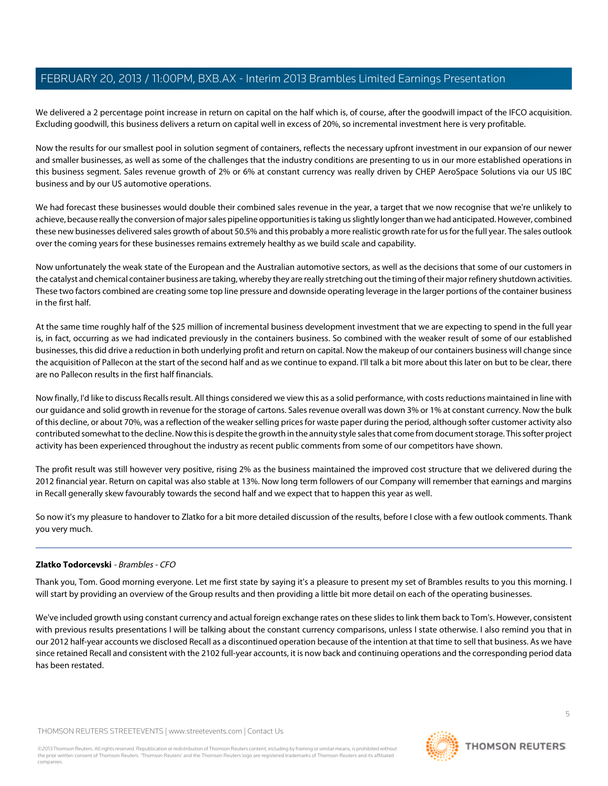We delivered a 2 percentage point increase in return on capital on the half which is, of course, after the goodwill impact of the IFCO acquisition. Excluding goodwill, this business delivers a return on capital well in excess of 20%, so incremental investment here is very profitable.

Now the results for our smallest pool in solution segment of containers, reflects the necessary upfront investment in our expansion of our newer and smaller businesses, as well as some of the challenges that the industry conditions are presenting to us in our more established operations in this business segment. Sales revenue growth of 2% or 6% at constant currency was really driven by CHEP AeroSpace Solutions via our US IBC business and by our US automotive operations.

We had forecast these businesses would double their combined sales revenue in the year, a target that we now recognise that we're unlikely to achieve, because really the conversion of major sales pipeline opportunities is taking us slightly longer than we had anticipated. However, combined these new businesses delivered sales growth of about 50.5% and this probably a more realistic growth rate for us for the full year. The sales outlook over the coming years for these businesses remains extremely healthy as we build scale and capability.

Now unfortunately the weak state of the European and the Australian automotive sectors, as well as the decisions that some of our customers in the catalyst and chemical container business are taking, whereby they are really stretching out the timing of their major refinery shutdown activities. These two factors combined are creating some top line pressure and downside operating leverage in the larger portions of the container business in the first half.

At the same time roughly half of the \$25 million of incremental business development investment that we are expecting to spend in the full year is, in fact, occurring as we had indicated previously in the containers business. So combined with the weaker result of some of our established businesses, this did drive a reduction in both underlying profit and return on capital. Now the makeup of our containers business will change since the acquisition of Pallecon at the start of the second half and as we continue to expand. I'll talk a bit more about this later on but to be clear, there are no Pallecon results in the first half financials.

Now finally, I'd like to discuss Recalls result. All things considered we view this as a solid performance, with costs reductions maintained in line with our guidance and solid growth in revenue for the storage of cartons. Sales revenue overall was down 3% or 1% at constant currency. Now the bulk of this decline, or about 70%, was a reflection of the weaker selling prices for waste paper during the period, although softer customer activity also contributed somewhat to the decline. Now this is despite the growth in the annuity style sales that come from document storage. This softer project activity has been experienced throughout the industry as recent public comments from some of our competitors have shown.

The profit result was still however very positive, rising 2% as the business maintained the improved cost structure that we delivered during the 2012 financial year. Return on capital was also stable at 13%. Now long term followers of our Company will remember that earnings and margins in Recall generally skew favourably towards the second half and we expect that to happen this year as well.

<span id="page-4-0"></span>So now it's my pleasure to handover to Zlatko for a bit more detailed discussion of the results, before I close with a few outlook comments. Thank you very much.

# **Zlatko Todorcevski** - Brambles - CFO

Thank you, Tom. Good morning everyone. Let me first state by saying it's a pleasure to present my set of Brambles results to you this morning. I will start by providing an overview of the Group results and then providing a little bit more detail on each of the operating businesses.

We've included growth using constant currency and actual foreign exchange rates on these slides to link them back to Tom's. However, consistent with previous results presentations I will be talking about the constant currency comparisons, unless I state otherwise. I also remind you that in our 2012 half-year accounts we disclosed Recall as a discontinued operation because of the intention at that time to sell that business. As we have since retained Recall and consistent with the 2102 full-year accounts, it is now back and continuing operations and the corresponding period data has been restated.

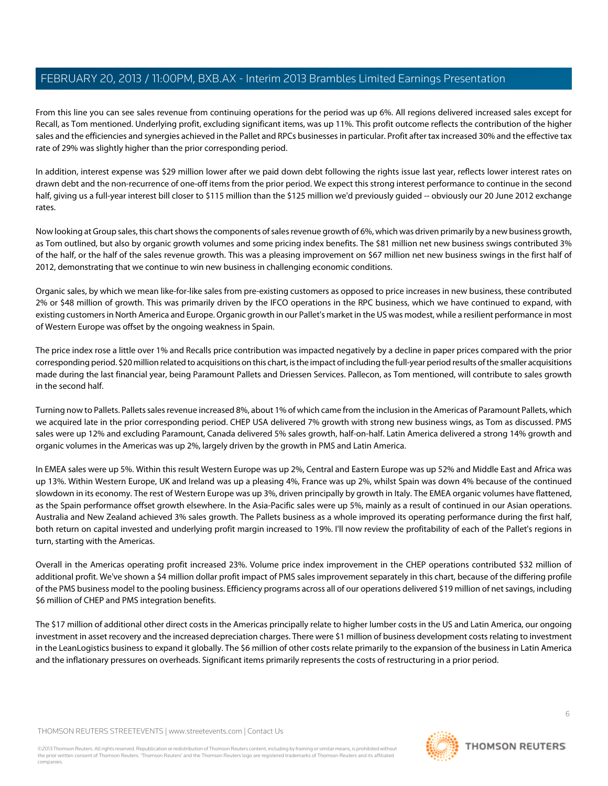From this line you can see sales revenue from continuing operations for the period was up 6%. All regions delivered increased sales except for Recall, as Tom mentioned. Underlying profit, excluding significant items, was up 11%. This profit outcome reflects the contribution of the higher sales and the efficiencies and synergies achieved in the Pallet and RPCs businesses in particular. Profit after tax increased 30% and the effective tax rate of 29% was slightly higher than the prior corresponding period.

In addition, interest expense was \$29 million lower after we paid down debt following the rights issue last year, reflects lower interest rates on drawn debt and the non-recurrence of one-off items from the prior period. We expect this strong interest performance to continue in the second half, giving us a full-year interest bill closer to \$115 million than the \$125 million we'd previously guided -- obviously our 20 June 2012 exchange rates.

Now looking at Group sales, this chart shows the components of sales revenue growth of 6%, which was driven primarily by a new business growth, as Tom outlined, but also by organic growth volumes and some pricing index benefits. The \$81 million net new business swings contributed 3% of the half, or the half of the sales revenue growth. This was a pleasing improvement on \$67 million net new business swings in the first half of 2012, demonstrating that we continue to win new business in challenging economic conditions.

Organic sales, by which we mean like-for-like sales from pre-existing customers as opposed to price increases in new business, these contributed 2% or \$48 million of growth. This was primarily driven by the IFCO operations in the RPC business, which we have continued to expand, with existing customers in North America and Europe. Organic growth in our Pallet's market in the US was modest, while a resilient performance in most of Western Europe was offset by the ongoing weakness in Spain.

The price index rose a little over 1% and Recalls price contribution was impacted negatively by a decline in paper prices compared with the prior corresponding period. \$20 million related to acquisitions on this chart, is the impact of including the full-year period results of the smaller acquisitions made during the last financial year, being Paramount Pallets and Driessen Services. Pallecon, as Tom mentioned, will contribute to sales growth in the second half.

Turning now to Pallets. Pallets sales revenue increased 8%, about 1% of which came from the inclusion in the Americas of Paramount Pallets, which we acquired late in the prior corresponding period. CHEP USA delivered 7% growth with strong new business wings, as Tom as discussed. PMS sales were up 12% and excluding Paramount, Canada delivered 5% sales growth, half-on-half. Latin America delivered a strong 14% growth and organic volumes in the Americas was up 2%, largely driven by the growth in PMS and Latin America.

In EMEA sales were up 5%. Within this result Western Europe was up 2%, Central and Eastern Europe was up 52% and Middle East and Africa was up 13%. Within Western Europe, UK and Ireland was up a pleasing 4%, France was up 2%, whilst Spain was down 4% because of the continued slowdown in its economy. The rest of Western Europe was up 3%, driven principally by growth in Italy. The EMEA organic volumes have flattened, as the Spain performance offset growth elsewhere. In the Asia-Pacific sales were up 5%, mainly as a result of continued in our Asian operations. Australia and New Zealand achieved 3% sales growth. The Pallets business as a whole improved its operating performance during the first half, both return on capital invested and underlying profit margin increased to 19%. I'll now review the profitability of each of the Pallet's regions in turn, starting with the Americas.

Overall in the Americas operating profit increased 23%. Volume price index improvement in the CHEP operations contributed \$32 million of additional profit. We've shown a \$4 million dollar profit impact of PMS sales improvement separately in this chart, because of the differing profile of the PMS business model to the pooling business. Efficiency programs across all of our operations delivered \$19 million of net savings, including \$6 million of CHEP and PMS integration benefits.

The \$17 million of additional other direct costs in the Americas principally relate to higher lumber costs in the US and Latin America, our ongoing investment in asset recovery and the increased depreciation charges. There were \$1 million of business development costs relating to investment in the LeanLogistics business to expand it globally. The \$6 million of other costs relate primarily to the expansion of the business in Latin America and the inflationary pressures on overheads. Significant items primarily represents the costs of restructuring in a prior period.

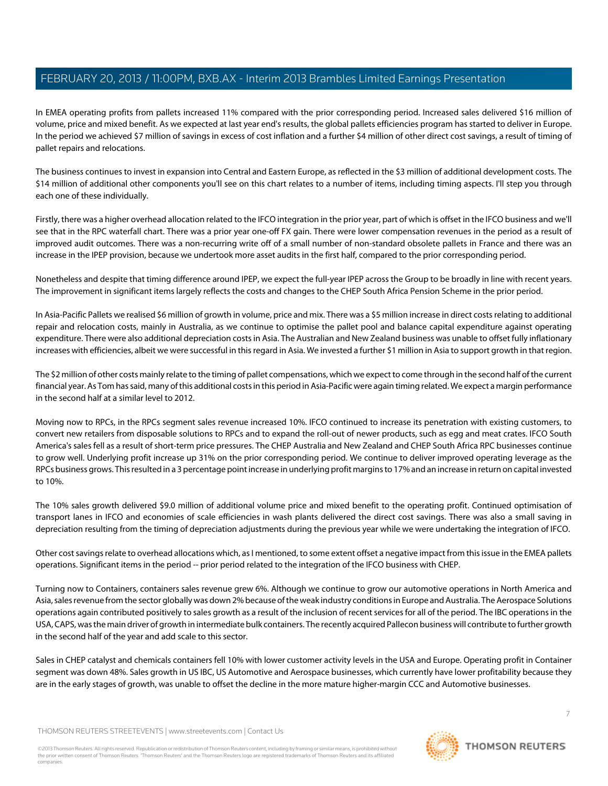In EMEA operating profits from pallets increased 11% compared with the prior corresponding period. Increased sales delivered \$16 million of volume, price and mixed benefit. As we expected at last year end's results, the global pallets efficiencies program has started to deliver in Europe. In the period we achieved \$7 million of savings in excess of cost inflation and a further \$4 million of other direct cost savings, a result of timing of pallet repairs and relocations.

The business continues to invest in expansion into Central and Eastern Europe, as reflected in the \$3 million of additional development costs. The \$14 million of additional other components you'll see on this chart relates to a number of items, including timing aspects. I'll step you through each one of these individually.

Firstly, there was a higher overhead allocation related to the IFCO integration in the prior year, part of which is offset in the IFCO business and we'll see that in the RPC waterfall chart. There was a prior year one-off FX gain. There were lower compensation revenues in the period as a result of improved audit outcomes. There was a non-recurring write off of a small number of non-standard obsolete pallets in France and there was an increase in the IPEP provision, because we undertook more asset audits in the first half, compared to the prior corresponding period.

Nonetheless and despite that timing difference around IPEP, we expect the full-year IPEP across the Group to be broadly in line with recent years. The improvement in significant items largely reflects the costs and changes to the CHEP South Africa Pension Scheme in the prior period.

In Asia-Pacific Pallets we realised \$6 million of growth in volume, price and mix. There was a \$5 million increase in direct costs relating to additional repair and relocation costs, mainly in Australia, as we continue to optimise the pallet pool and balance capital expenditure against operating expenditure. There were also additional depreciation costs in Asia. The Australian and New Zealand business was unable to offset fully inflationary increases with efficiencies, albeit we were successful in this regard in Asia. We invested a further \$1 million in Asia to support growth in that region.

The \$2 million of other costs mainly relate to the timing of pallet compensations, which we expect to come through in the second half of the current financial year. As Tom has said, many of this additional costs in this period in Asia-Pacific were again timing related. We expect a margin performance in the second half at a similar level to 2012.

Moving now to RPCs, in the RPCs segment sales revenue increased 10%. IFCO continued to increase its penetration with existing customers, to convert new retailers from disposable solutions to RPCs and to expand the roll-out of newer products, such as egg and meat crates. IFCO South America's sales fell as a result of short-term price pressures. The CHEP Australia and New Zealand and CHEP South Africa RPC businesses continue to grow well. Underlying profit increase up 31% on the prior corresponding period. We continue to deliver improved operating leverage as the RPCs business grows. This resulted in a 3 percentage point increase in underlying profit margins to 17% and an increase in return on capital invested to 10%.

The 10% sales growth delivered \$9.0 million of additional volume price and mixed benefit to the operating profit. Continued optimisation of transport lanes in IFCO and economies of scale efficiencies in wash plants delivered the direct cost savings. There was also a small saving in depreciation resulting from the timing of depreciation adjustments during the previous year while we were undertaking the integration of IFCO.

Other cost savings relate to overhead allocations which, as I mentioned, to some extent offset a negative impact from this issue in the EMEA pallets operations. Significant items in the period -- prior period related to the integration of the IFCO business with CHEP.

Turning now to Containers, containers sales revenue grew 6%. Although we continue to grow our automotive operations in North America and Asia, sales revenue from the sector globally was down 2% because of the weak industry conditions in Europe and Australia. The Aerospace Solutions operations again contributed positively to sales growth as a result of the inclusion of recent services for all of the period. The IBC operations in the USA, CAPS, was the main driver of growth in intermediate bulk containers. The recently acquired Pallecon business will contribute to further growth in the second half of the year and add scale to this sector.

Sales in CHEP catalyst and chemicals containers fell 10% with lower customer activity levels in the USA and Europe. Operating profit in Container segment was down 48%. Sales growth in US IBC, US Automotive and Aerospace businesses, which currently have lower profitability because they are in the early stages of growth, was unable to offset the decline in the more mature higher-margin CCC and Automotive businesses.

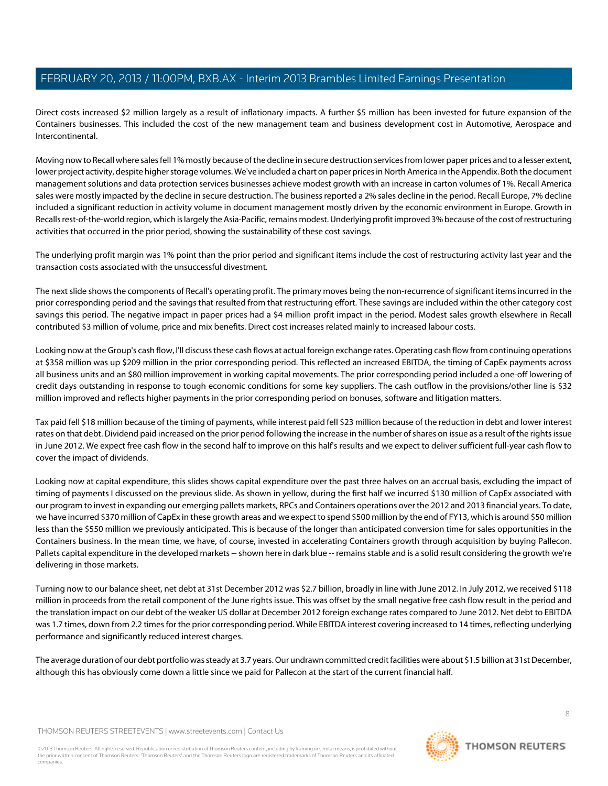Direct costs increased \$2 million largely as a result of inflationary impacts. A further \$5 million has been invested for future expansion of the Containers businesses. This included the cost of the new management team and business development cost in Automotive, Aerospace and Intercontinental.

Moving now to Recall where sales fell 1% mostly because of the decline in secure destruction services from lower paper prices and to a lesser extent, lower project activity, despite higher storage volumes. We've included a chart on paper prices in North America in the Appendix. Both the document management solutions and data protection services businesses achieve modest growth with an increase in carton volumes of 1%. Recall America sales were mostly impacted by the decline in secure destruction. The business reported a 2% sales decline in the period. Recall Europe, 7% decline included a significant reduction in activity volume in document management mostly driven by the economic environment in Europe. Growth in Recalls rest-of-the-world region, which is largely the Asia-Pacific, remains modest. Underlying profit improved 3% because of the cost of restructuring activities that occurred in the prior period, showing the sustainability of these cost savings.

The underlying profit margin was 1% point than the prior period and significant items include the cost of restructuring activity last year and the transaction costs associated with the unsuccessful divestment.

The next slide shows the components of Recall's operating profit. The primary moves being the non-recurrence of significant items incurred in the prior corresponding period and the savings that resulted from that restructuring effort. These savings are included within the other category cost savings this period. The negative impact in paper prices had a \$4 million profit impact in the period. Modest sales growth elsewhere in Recall contributed \$3 million of volume, price and mix benefits. Direct cost increases related mainly to increased labour costs.

Looking now at the Group's cash flow, I'll discuss these cash flows at actual foreign exchange rates. Operating cash flow from continuing operations at \$358 million was up \$209 million in the prior corresponding period. This reflected an increased EBITDA, the timing of CapEx payments across all business units and an \$80 million improvement in working capital movements. The prior corresponding period included a one-off lowering of credit days outstanding in response to tough economic conditions for some key suppliers. The cash outflow in the provisions/other line is \$32 million improved and reflects higher payments in the prior corresponding period on bonuses, software and litigation matters.

Tax paid fell \$18 million because of the timing of payments, while interest paid fell \$23 million because of the reduction in debt and lower interest rates on that debt. Dividend paid increased on the prior period following the increase in the number of shares on issue as a result of the rights issue in June 2012. We expect free cash flow in the second half to improve on this half's results and we expect to deliver sufficient full-year cash flow to cover the impact of dividends.

Looking now at capital expenditure, this slides shows capital expenditure over the past three halves on an accrual basis, excluding the impact of timing of payments I discussed on the previous slide. As shown in yellow, during the first half we incurred \$130 million of CapEx associated with our program to invest in expanding our emerging pallets markets, RPCs and Containers operations over the 2012 and 2013 financial years. To date, we have incurred \$370 million of CapEx in these growth areas and we expect to spend \$500 million by the end of FY13, which is around \$50 million less than the \$550 million we previously anticipated. This is because of the longer than anticipated conversion time for sales opportunities in the Containers business. In the mean time, we have, of course, invested in accelerating Containers growth through acquisition by buying Pallecon. Pallets capital expenditure in the developed markets -- shown here in dark blue -- remains stable and is a solid result considering the growth we're delivering in those markets.

Turning now to our balance sheet, net debt at 31st December 2012 was \$2.7 billion, broadly in line with June 2012. In July 2012, we received \$118 million in proceeds from the retail component of the June rights issue. This was offset by the small negative free cash flow result in the period and the translation impact on our debt of the weaker US dollar at December 2012 foreign exchange rates compared to June 2012. Net debt to EBITDA was 1.7 times, down from 2.2 times for the prior corresponding period. While EBITDA interest covering increased to 14 times, reflecting underlying performance and significantly reduced interest charges.

The average duration of our debt portfolio was steady at 3.7 years. Our undrawn committed credit facilities were about \$1.5 billion at 31st December, although this has obviously come down a little since we paid for Pallecon at the start of the current financial half.

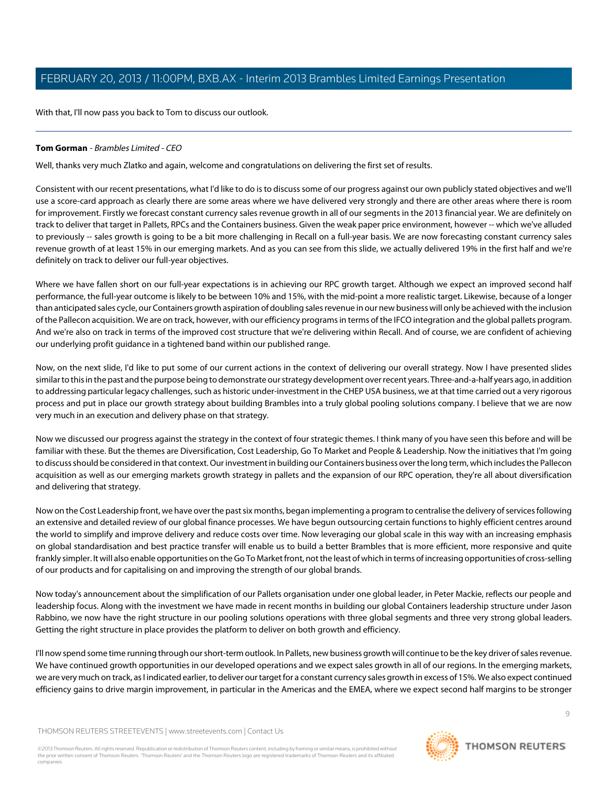With that, I'll now pass you back to Tom to discuss our outlook.

# **Tom Gorman** - Brambles Limited - CEO

Well, thanks very much Zlatko and again, welcome and congratulations on delivering the first set of results.

Consistent with our recent presentations, what I'd like to do is to discuss some of our progress against our own publicly stated objectives and we'll use a score-card approach as clearly there are some areas where we have delivered very strongly and there are other areas where there is room for improvement. Firstly we forecast constant currency sales revenue growth in all of our segments in the 2013 financial year. We are definitely on track to deliver that target in Pallets, RPCs and the Containers business. Given the weak paper price environment, however -- which we've alluded to previously -- sales growth is going to be a bit more challenging in Recall on a full-year basis. We are now forecasting constant currency sales revenue growth of at least 15% in our emerging markets. And as you can see from this slide, we actually delivered 19% in the first half and we're definitely on track to deliver our full-year objectives.

Where we have fallen short on our full-year expectations is in achieving our RPC growth target. Although we expect an improved second half performance, the full-year outcome is likely to be between 10% and 15%, with the mid-point a more realistic target. Likewise, because of a longer than anticipated sales cycle, our Containers growth aspiration of doubling sales revenue in our new business will only be achieved with the inclusion of the Pallecon acquisition. We are on track, however, with our efficiency programs in terms of the IFCO integration and the global pallets program. And we're also on track in terms of the improved cost structure that we're delivering within Recall. And of course, we are confident of achieving our underlying profit guidance in a tightened band within our published range.

Now, on the next slide, I'd like to put some of our current actions in the context of delivering our overall strategy. Now I have presented slides similar to this in the past and the purpose being to demonstrate our strategy development over recent years. Three-and-a-half years ago, in addition to addressing particular legacy challenges, such as historic under-investment in the CHEP USA business, we at that time carried out a very rigorous process and put in place our growth strategy about building Brambles into a truly global pooling solutions company. I believe that we are now very much in an execution and delivery phase on that strategy.

Now we discussed our progress against the strategy in the context of four strategic themes. I think many of you have seen this before and will be familiar with these. But the themes are Diversification, Cost Leadership, Go To Market and People & Leadership. Now the initiatives that I'm going to discuss should be considered in that context. Our investment in building our Containers business over the long term, which includes the Pallecon acquisition as well as our emerging markets growth strategy in pallets and the expansion of our RPC operation, they're all about diversification and delivering that strategy.

Now on the Cost Leadership front, we have over the past six months, began implementing a program to centralise the delivery of services following an extensive and detailed review of our global finance processes. We have begun outsourcing certain functions to highly efficient centres around the world to simplify and improve delivery and reduce costs over time. Now leveraging our global scale in this way with an increasing emphasis on global standardisation and best practice transfer will enable us to build a better Brambles that is more efficient, more responsive and quite frankly simpler. It will also enable opportunities on the Go To Market front, not the least of which in terms of increasing opportunities of cross-selling of our products and for capitalising on and improving the strength of our global brands.

Now today's announcement about the simplification of our Pallets organisation under one global leader, in Peter Mackie, reflects our people and leadership focus. Along with the investment we have made in recent months in building our global Containers leadership structure under Jason Rabbino, we now have the right structure in our pooling solutions operations with three global segments and three very strong global leaders. Getting the right structure in place provides the platform to deliver on both growth and efficiency.

I'll now spend some time running through our short-term outlook. In Pallets, new business growth will continue to be the key driver of sales revenue. We have continued growth opportunities in our developed operations and we expect sales growth in all of our regions. In the emerging markets, we are very much on track, as I indicated earlier, to deliver our target for a constant currency sales growth in excess of 15%. We also expect continued efficiency gains to drive margin improvement, in particular in the Americas and the EMEA, where we expect second half margins to be stronger

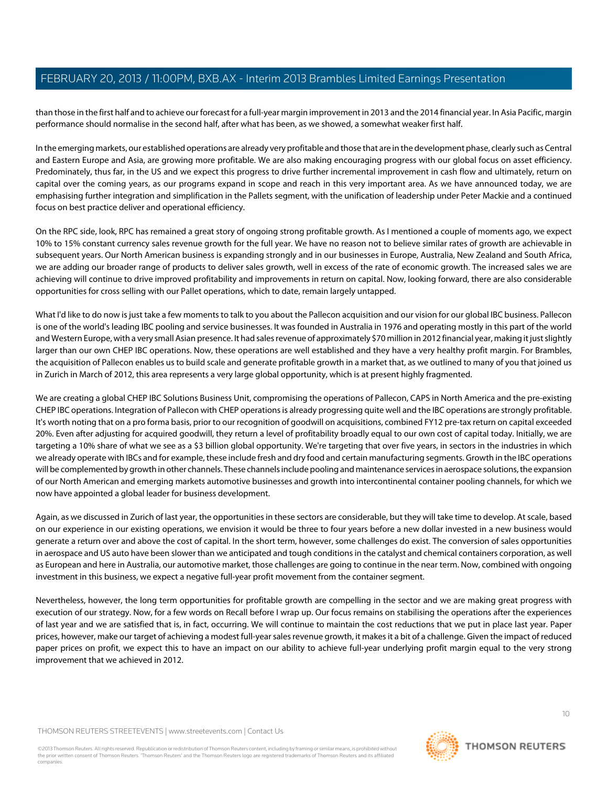than those in the first half and to achieve our forecast for a full-year margin improvement in 2013 and the 2014 financial year. In Asia Pacific, margin performance should normalise in the second half, after what has been, as we showed, a somewhat weaker first half.

In the emerging markets, our established operations are already very profitable and those that are in the development phase, clearly such as Central and Eastern Europe and Asia, are growing more profitable. We are also making encouraging progress with our global focus on asset efficiency. Predominately, thus far, in the US and we expect this progress to drive further incremental improvement in cash flow and ultimately, return on capital over the coming years, as our programs expand in scope and reach in this very important area. As we have announced today, we are emphasising further integration and simplification in the Pallets segment, with the unification of leadership under Peter Mackie and a continued focus on best practice deliver and operational efficiency.

On the RPC side, look, RPC has remained a great story of ongoing strong profitable growth. As I mentioned a couple of moments ago, we expect 10% to 15% constant currency sales revenue growth for the full year. We have no reason not to believe similar rates of growth are achievable in subsequent years. Our North American business is expanding strongly and in our businesses in Europe, Australia, New Zealand and South Africa, we are adding our broader range of products to deliver sales growth, well in excess of the rate of economic growth. The increased sales we are achieving will continue to drive improved profitability and improvements in return on capital. Now, looking forward, there are also considerable opportunities for cross selling with our Pallet operations, which to date, remain largely untapped.

What I'd like to do now is just take a few moments to talk to you about the Pallecon acquisition and our vision for our global IBC business. Pallecon is one of the world's leading IBC pooling and service businesses. It was founded in Australia in 1976 and operating mostly in this part of the world and Western Europe, with a very small Asian presence. It had sales revenue of approximately \$70 million in 2012 financial year, making it just slightly larger than our own CHEP IBC operations. Now, these operations are well established and they have a very healthy profit margin. For Brambles, the acquisition of Pallecon enables us to build scale and generate profitable growth in a market that, as we outlined to many of you that joined us in Zurich in March of 2012, this area represents a very large global opportunity, which is at present highly fragmented.

We are creating a global CHEP IBC Solutions Business Unit, compromising the operations of Pallecon, CAPS in North America and the pre-existing CHEP IBC operations. Integration of Pallecon with CHEP operations is already progressing quite well and the IBC operations are strongly profitable. It's worth noting that on a pro forma basis, prior to our recognition of goodwill on acquisitions, combined FY12 pre-tax return on capital exceeded 20%. Even after adjusting for acquired goodwill, they return a level of profitability broadly equal to our own cost of capital today. Initially, we are targeting a 10% share of what we see as a \$3 billion global opportunity. We're targeting that over five years, in sectors in the industries in which we already operate with IBCs and for example, these include fresh and dry food and certain manufacturing segments. Growth in the IBC operations will be complemented by growth in other channels. These channels include pooling and maintenance services in aerospace solutions, the expansion of our North American and emerging markets automotive businesses and growth into intercontinental container pooling channels, for which we now have appointed a global leader for business development.

Again, as we discussed in Zurich of last year, the opportunities in these sectors are considerable, but they will take time to develop. At scale, based on our experience in our existing operations, we envision it would be three to four years before a new dollar invested in a new business would generate a return over and above the cost of capital. In the short term, however, some challenges do exist. The conversion of sales opportunities in aerospace and US auto have been slower than we anticipated and tough conditions in the catalyst and chemical containers corporation, as well as European and here in Australia, our automotive market, those challenges are going to continue in the near term. Now, combined with ongoing investment in this business, we expect a negative full-year profit movement from the container segment.

Nevertheless, however, the long term opportunities for profitable growth are compelling in the sector and we are making great progress with execution of our strategy. Now, for a few words on Recall before I wrap up. Our focus remains on stabilising the operations after the experiences of last year and we are satisfied that is, in fact, occurring. We will continue to maintain the cost reductions that we put in place last year. Paper prices, however, make our target of achieving a modest full-year sales revenue growth, it makes it a bit of a challenge. Given the impact of reduced paper prices on profit, we expect this to have an impact on our ability to achieve full-year underlying profit margin equal to the very strong improvement that we achieved in 2012.

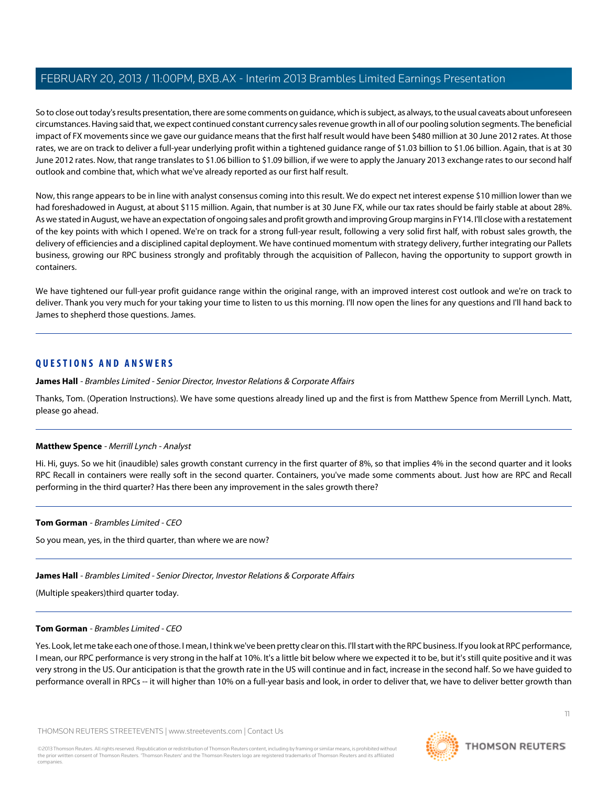So to close out today's results presentation, there are some comments on guidance, which is subject, as always, to the usual caveats about unforeseen circumstances. Having said that, we expect continued constant currency sales revenue growth in all of our pooling solution segments. The beneficial impact of FX movements since we gave our guidance means that the first half result would have been \$480 million at 30 June 2012 rates. At those rates, we are on track to deliver a full-year underlying profit within a tightened guidance range of \$1.03 billion to \$1.06 billion. Again, that is at 30 June 2012 rates. Now, that range translates to \$1.06 billion to \$1.09 billion, if we were to apply the January 2013 exchange rates to our second half outlook and combine that, which what we've already reported as our first half result.

Now, this range appears to be in line with analyst consensus coming into this result. We do expect net interest expense \$10 million lower than we had foreshadowed in August, at about \$115 million. Again, that number is at 30 June FX, while our tax rates should be fairly stable at about 28%. As we stated in August, we have an expectation of ongoing sales and profit growth and improving Group margins in FY14. I'll close with a restatement of the key points with which I opened. We're on track for a strong full-year result, following a very solid first half, with robust sales growth, the delivery of efficiencies and a disciplined capital deployment. We have continued momentum with strategy delivery, further integrating our Pallets business, growing our RPC business strongly and profitably through the acquisition of Pallecon, having the opportunity to support growth in containers.

We have tightened our full-year profit guidance range within the original range, with an improved interest cost outlook and we're on track to deliver. Thank you very much for your taking your time to listen to us this morning. I'll now open the lines for any questions and I'll hand back to James to shepherd those questions. James.

# **QUESTIONS AND ANSWERS**

**James Hall** - Brambles Limited - Senior Director, Investor Relations & Corporate Affairs

<span id="page-10-0"></span>Thanks, Tom. (Operation Instructions). We have some questions already lined up and the first is from Matthew Spence from Merrill Lynch. Matt, please go ahead.

# **Matthew Spence** - Merrill Lynch - Analyst

Hi. Hi, guys. So we hit (inaudible) sales growth constant currency in the first quarter of 8%, so that implies 4% in the second quarter and it looks RPC Recall in containers were really soft in the second quarter. Containers, you've made some comments about. Just how are RPC and Recall performing in the third quarter? Has there been any improvement in the sales growth there?

#### **Tom Gorman** - Brambles Limited - CEO

So you mean, yes, in the third quarter, than where we are now?

# **James Hall** - Brambles Limited - Senior Director, Investor Relations & Corporate Affairs

(Multiple speakers)third quarter today.

#### **Tom Gorman** - Brambles Limited - CEO

Yes. Look, let me take each one of those. I mean, I think we've been pretty clear on this. I'll start with the RPC business. If you look at RPC performance, I mean, our RPC performance is very strong in the half at 10%. It's a little bit below where we expected it to be, but it's still quite positive and it was very strong in the US. Our anticipation is that the growth rate in the US will continue and in fact, increase in the second half. So we have guided to performance overall in RPCs -- it will higher than 10% on a full-year basis and look, in order to deliver that, we have to deliver better growth than

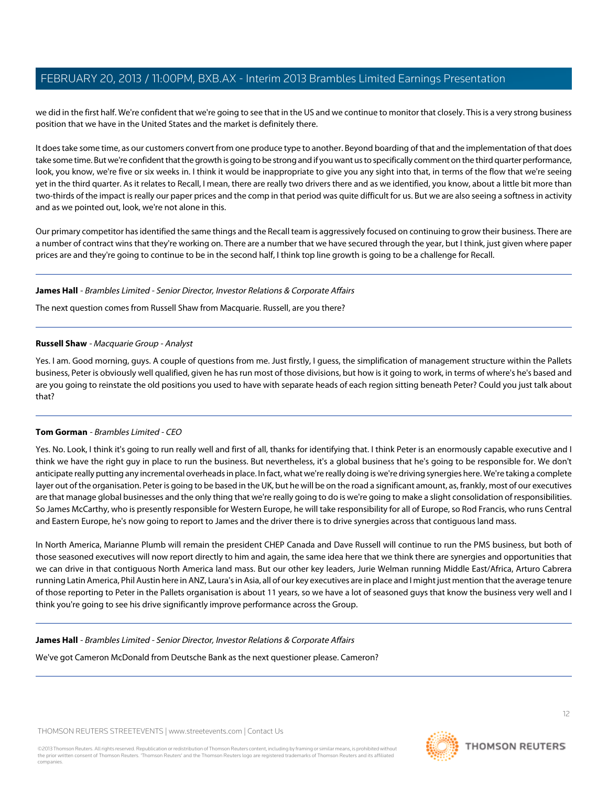we did in the first half. We're confident that we're going to see that in the US and we continue to monitor that closely. This is a very strong business position that we have in the United States and the market is definitely there.

It does take some time, as our customers convert from one produce type to another. Beyond boarding of that and the implementation of that does take some time. But we're confident that the growth is going to be strong and if you want us to specifically comment on the third quarter performance, look, you know, we're five or six weeks in. I think it would be inappropriate to give you any sight into that, in terms of the flow that we're seeing yet in the third quarter. As it relates to Recall, I mean, there are really two drivers there and as we identified, you know, about a little bit more than two-thirds of the impact is really our paper prices and the comp in that period was quite difficult for us. But we are also seeing a softness in activity and as we pointed out, look, we're not alone in this.

Our primary competitor has identified the same things and the Recall team is aggressively focused on continuing to grow their business. There are a number of contract wins that they're working on. There are a number that we have secured through the year, but I think, just given where paper prices are and they're going to continue to be in the second half, I think top line growth is going to be a challenge for Recall.

#### **James Hall** - Brambles Limited - Senior Director, Investor Relations & Corporate Affairs

<span id="page-11-0"></span>The next question comes from Russell Shaw from Macquarie. Russell, are you there?

#### **Russell Shaw** - Macquarie Group - Analyst

Yes. I am. Good morning, guys. A couple of questions from me. Just firstly, I guess, the simplification of management structure within the Pallets business, Peter is obviously well qualified, given he has run most of those divisions, but how is it going to work, in terms of where's he's based and are you going to reinstate the old positions you used to have with separate heads of each region sitting beneath Peter? Could you just talk about that?

# **Tom Gorman** - Brambles Limited - CEO

Yes. No. Look, I think it's going to run really well and first of all, thanks for identifying that. I think Peter is an enormously capable executive and I think we have the right guy in place to run the business. But nevertheless, it's a global business that he's going to be responsible for. We don't anticipate really putting any incremental overheads in place. In fact, what we're really doing is we're driving synergies here. We're taking a complete layer out of the organisation. Peter is going to be based in the UK, but he will be on the road a significant amount, as, frankly, most of our executives are that manage global businesses and the only thing that we're really going to do is we're going to make a slight consolidation of responsibilities. So James McCarthy, who is presently responsible for Western Europe, he will take responsibility for all of Europe, so Rod Francis, who runs Central and Eastern Europe, he's now going to report to James and the driver there is to drive synergies across that contiguous land mass.

In North America, Marianne Plumb will remain the president CHEP Canada and Dave Russell will continue to run the PMS business, but both of those seasoned executives will now report directly to him and again, the same idea here that we think there are synergies and opportunities that we can drive in that contiguous North America land mass. But our other key leaders, Jurie Welman running Middle East/Africa, Arturo Cabrera running Latin America, Phil Austin here in ANZ, Laura's in Asia, all of our key executives are in place and I might just mention that the average tenure of those reporting to Peter in the Pallets organisation is about 11 years, so we have a lot of seasoned guys that know the business very well and I think you're going to see his drive significantly improve performance across the Group.

#### **James Hall** - Brambles Limited - Senior Director, Investor Relations & Corporate Affairs

We've got Cameron McDonald from Deutsche Bank as the next questioner please. Cameron?

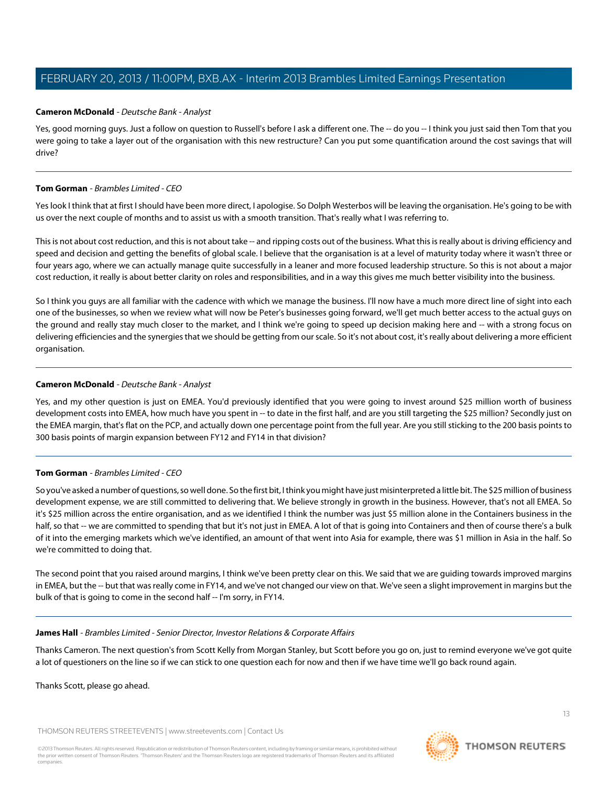#### <span id="page-12-0"></span>**Cameron McDonald** - Deutsche Bank - Analyst

Yes, good morning guys. Just a follow on question to Russell's before I ask a different one. The -- do you -- I think you just said then Tom that you were going to take a layer out of the organisation with this new restructure? Can you put some quantification around the cost savings that will drive?

#### **Tom Gorman** - Brambles Limited - CEO

Yes look I think that at first I should have been more direct, I apologise. So Dolph Westerbos will be leaving the organisation. He's going to be with us over the next couple of months and to assist us with a smooth transition. That's really what I was referring to.

This is not about cost reduction, and this is not about take -- and ripping costs out of the business. What this is really about is driving efficiency and speed and decision and getting the benefits of global scale. I believe that the organisation is at a level of maturity today where it wasn't three or four years ago, where we can actually manage quite successfully in a leaner and more focused leadership structure. So this is not about a major cost reduction, it really is about better clarity on roles and responsibilities, and in a way this gives me much better visibility into the business.

So I think you guys are all familiar with the cadence with which we manage the business. I'll now have a much more direct line of sight into each one of the businesses, so when we review what will now be Peter's businesses going forward, we'll get much better access to the actual guys on the ground and really stay much closer to the market, and I think we're going to speed up decision making here and -- with a strong focus on delivering efficiencies and the synergies that we should be getting from our scale. So it's not about cost, it's really about delivering a more efficient organisation.

#### **Cameron McDonald** - Deutsche Bank - Analyst

Yes, and my other question is just on EMEA. You'd previously identified that you were going to invest around \$25 million worth of business development costs into EMEA, how much have you spent in -- to date in the first half, and are you still targeting the \$25 million? Secondly just on the EMEA margin, that's flat on the PCP, and actually down one percentage point from the full year. Are you still sticking to the 200 basis points to 300 basis points of margin expansion between FY12 and FY14 in that division?

# **Tom Gorman** - Brambles Limited - CEO

So you've asked a number of questions, so well done. So the first bit, I think you might have just misinterpreted a little bit. The \$25 million of business development expense, we are still committed to delivering that. We believe strongly in growth in the business. However, that's not all EMEA. So it's \$25 million across the entire organisation, and as we identified I think the number was just \$5 million alone in the Containers business in the half, so that -- we are committed to spending that but it's not just in EMEA. A lot of that is going into Containers and then of course there's a bulk of it into the emerging markets which we've identified, an amount of that went into Asia for example, there was \$1 million in Asia in the half. So we're committed to doing that.

The second point that you raised around margins, I think we've been pretty clear on this. We said that we are guiding towards improved margins in EMEA, but the -- but that was really come in FY14, and we've not changed our view on that. We've seen a slight improvement in margins but the bulk of that is going to come in the second half -- I'm sorry, in FY14.

#### **James Hall** - Brambles Limited - Senior Director, Investor Relations & Corporate Affairs

Thanks Cameron. The next question's from Scott Kelly from Morgan Stanley, but Scott before you go on, just to remind everyone we've got quite a lot of questioners on the line so if we can stick to one question each for now and then if we have time we'll go back round again.

Thanks Scott, please go ahead.

THOMSON REUTERS STREETEVENTS | [www.streetevents.com](http://www.streetevents.com) | [Contact Us](http://www010.streetevents.com/contact.asp)

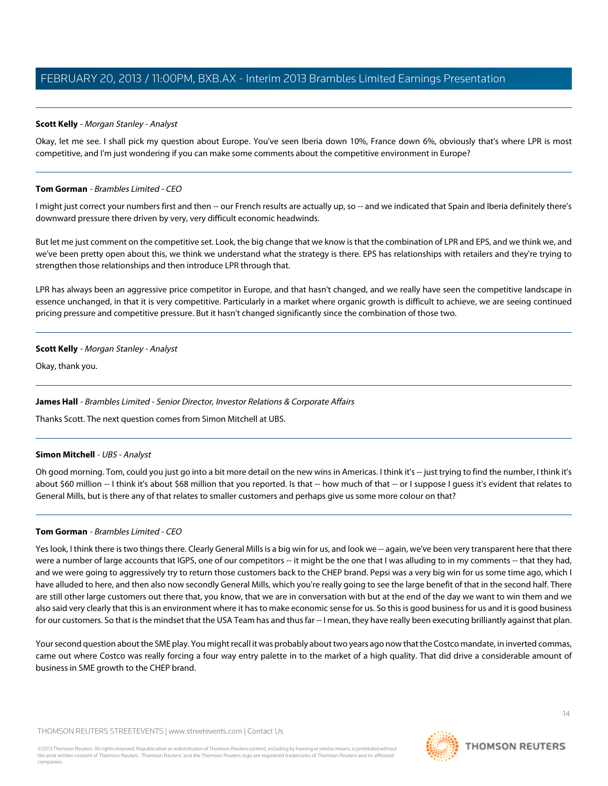## <span id="page-13-0"></span>**Scott Kelly** - Morgan Stanley - Analyst

Okay, let me see. I shall pick my question about Europe. You've seen Iberia down 10%, France down 6%, obviously that's where LPR is most competitive, and I'm just wondering if you can make some comments about the competitive environment in Europe?

#### **Tom Gorman** - Brambles Limited - CEO

I might just correct your numbers first and then -- our French results are actually up, so -- and we indicated that Spain and Iberia definitely there's downward pressure there driven by very, very difficult economic headwinds.

But let me just comment on the competitive set. Look, the big change that we know is that the combination of LPR and EPS, and we think we, and we've been pretty open about this, we think we understand what the strategy is there. EPS has relationships with retailers and they're trying to strengthen those relationships and then introduce LPR through that.

LPR has always been an aggressive price competitor in Europe, and that hasn't changed, and we really have seen the competitive landscape in essence unchanged, in that it is very competitive. Particularly in a market where organic growth is difficult to achieve, we are seeing continued pricing pressure and competitive pressure. But it hasn't changed significantly since the combination of those two.

#### **Scott Kelly** - Morgan Stanley - Analyst

Okay, thank you.

# <span id="page-13-1"></span>**James Hall** - Brambles Limited - Senior Director, Investor Relations & Corporate Affairs

Thanks Scott. The next question comes from Simon Mitchell at UBS.

#### **Simon Mitchell** - UBS - Analyst

Oh good morning. Tom, could you just go into a bit more detail on the new wins in Americas. I think it's -- just trying to find the number, I think it's about \$60 million -- I think it's about \$68 million that you reported. Is that -- how much of that -- or I suppose I guess it's evident that relates to General Mills, but is there any of that relates to smaller customers and perhaps give us some more colour on that?

#### **Tom Gorman** - Brambles Limited - CEO

Yes look, I think there is two things there. Clearly General Mills is a big win for us, and look we -- again, we've been very transparent here that there were a number of large accounts that IGPS, one of our competitors -- it might be the one that I was alluding to in my comments -- that they had, and we were going to aggressively try to return those customers back to the CHEP brand. Pepsi was a very big win for us some time ago, which I have alluded to here, and then also now secondly General Mills, which you're really going to see the large benefit of that in the second half. There are still other large customers out there that, you know, that we are in conversation with but at the end of the day we want to win them and we also said very clearly that this is an environment where it has to make economic sense for us. So this is good business for us and it is good business for our customers. So that is the mindset that the USA Team has and thus far -- I mean, they have really been executing brilliantly against that plan.

Your second question about the SME play. You might recall it was probably about two years ago now that the Costco mandate, in inverted commas, came out where Costco was really forcing a four way entry palette in to the market of a high quality. That did drive a considerable amount of business in SME growth to the CHEP brand.

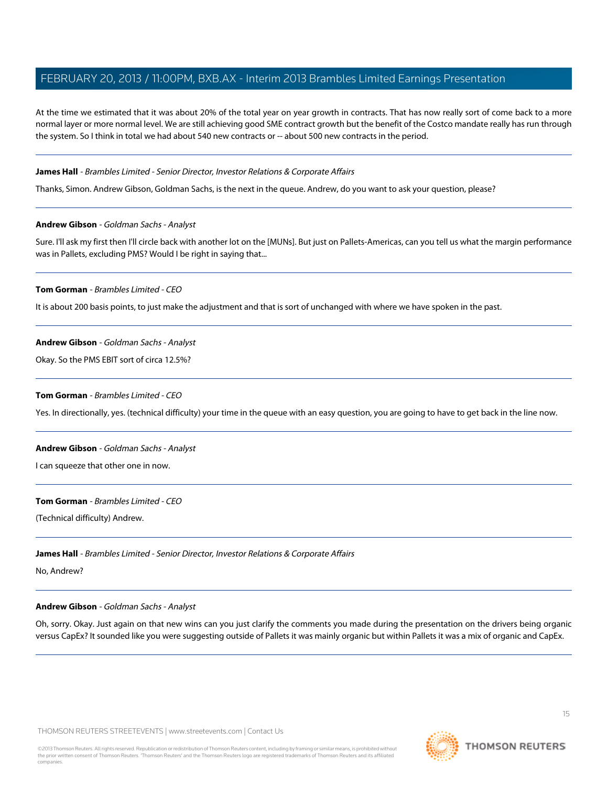At the time we estimated that it was about 20% of the total year on year growth in contracts. That has now really sort of come back to a more normal layer or more normal level. We are still achieving good SME contract growth but the benefit of the Costco mandate really has run through the system. So I think in total we had about 540 new contracts or -- about 500 new contracts in the period.

#### **James Hall** - Brambles Limited - Senior Director, Investor Relations & Corporate Affairs

<span id="page-14-0"></span>Thanks, Simon. Andrew Gibson, Goldman Sachs, is the next in the queue. Andrew, do you want to ask your question, please?

#### **Andrew Gibson** - Goldman Sachs - Analyst

Sure. I'll ask my first then I'll circle back with another lot on the [MUNs]. But just on Pallets-Americas, can you tell us what the margin performance was in Pallets, excluding PMS? Would I be right in saying that...

#### **Tom Gorman** - Brambles Limited - CEO

It is about 200 basis points, to just make the adjustment and that is sort of unchanged with where we have spoken in the past.

#### **Andrew Gibson** - Goldman Sachs - Analyst

Okay. So the PMS EBIT sort of circa 12.5%?

#### **Tom Gorman** - Brambles Limited - CEO

Yes. In directionally, yes. (technical difficulty) your time in the queue with an easy question, you are going to have to get back in the line now.

# **Andrew Gibson** - Goldman Sachs - Analyst

I can squeeze that other one in now.

#### **Tom Gorman** - Brambles Limited - CEO

(Technical difficulty) Andrew.

# **James Hall** - Brambles Limited - Senior Director, Investor Relations & Corporate Affairs

No, Andrew?

#### **Andrew Gibson** - Goldman Sachs - Analyst

Oh, sorry. Okay. Just again on that new wins can you just clarify the comments you made during the presentation on the drivers being organic versus CapEx? It sounded like you were suggesting outside of Pallets it was mainly organic but within Pallets it was a mix of organic and CapEx.

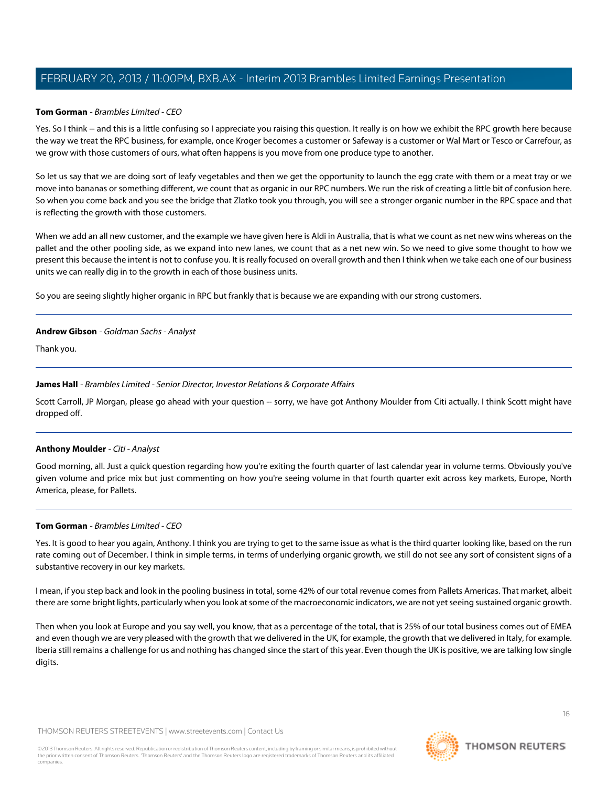#### **Tom Gorman** - Brambles Limited - CEO

Yes. So I think -- and this is a little confusing so I appreciate you raising this question. It really is on how we exhibit the RPC growth here because the way we treat the RPC business, for example, once Kroger becomes a customer or Safeway is a customer or Wal Mart or Tesco or Carrefour, as we grow with those customers of ours, what often happens is you move from one produce type to another.

So let us say that we are doing sort of leafy vegetables and then we get the opportunity to launch the egg crate with them or a meat tray or we move into bananas or something different, we count that as organic in our RPC numbers. We run the risk of creating a little bit of confusion here. So when you come back and you see the bridge that Zlatko took you through, you will see a stronger organic number in the RPC space and that is reflecting the growth with those customers.

When we add an all new customer, and the example we have given here is Aldi in Australia, that is what we count as net new wins whereas on the pallet and the other pooling side, as we expand into new lanes, we count that as a net new win. So we need to give some thought to how we present this because the intent is not to confuse you. It is really focused on overall growth and then I think when we take each one of our business units we can really dig in to the growth in each of those business units.

So you are seeing slightly higher organic in RPC but frankly that is because we are expanding with our strong customers.

#### **Andrew Gibson** - Goldman Sachs - Analyst

Thank you.

#### **James Hall** - Brambles Limited - Senior Director, Investor Relations & Corporate Affairs

<span id="page-15-0"></span>Scott Carroll, JP Morgan, please go ahead with your question -- sorry, we have got Anthony Moulder from Citi actually. I think Scott might have dropped off.

# **Anthony Moulder** - Citi - Analyst

Good morning, all. Just a quick question regarding how you're exiting the fourth quarter of last calendar year in volume terms. Obviously you've given volume and price mix but just commenting on how you're seeing volume in that fourth quarter exit across key markets, Europe, North America, please, for Pallets.

#### **Tom Gorman** - Brambles Limited - CEO

Yes. It is good to hear you again, Anthony. I think you are trying to get to the same issue as what is the third quarter looking like, based on the run rate coming out of December. I think in simple terms, in terms of underlying organic growth, we still do not see any sort of consistent signs of a substantive recovery in our key markets.

I mean, if you step back and look in the pooling business in total, some 42% of our total revenue comes from Pallets Americas. That market, albeit there are some bright lights, particularly when you look at some of the macroeconomic indicators, we are not yet seeing sustained organic growth.

Then when you look at Europe and you say well, you know, that as a percentage of the total, that is 25% of our total business comes out of EMEA and even though we are very pleased with the growth that we delivered in the UK, for example, the growth that we delivered in Italy, for example. Iberia still remains a challenge for us and nothing has changed since the start of this year. Even though the UK is positive, we are talking low single digits.

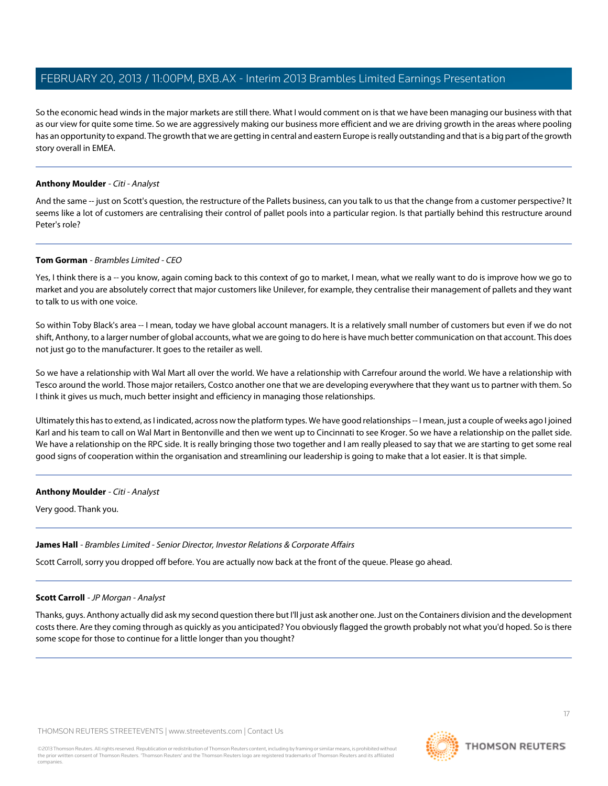So the economic head winds in the major markets are still there. What I would comment on is that we have been managing our business with that as our view for quite some time. So we are aggressively making our business more efficient and we are driving growth in the areas where pooling has an opportunity to expand. The growth that we are getting in central and eastern Europe is really outstanding and that is a big part of the growth story overall in EMEA.

#### **Anthony Moulder** - Citi - Analyst

And the same -- just on Scott's question, the restructure of the Pallets business, can you talk to us that the change from a customer perspective? It seems like a lot of customers are centralising their control of pallet pools into a particular region. Is that partially behind this restructure around Peter's role?

#### **Tom Gorman** - Brambles Limited - CEO

Yes, I think there is a -- you know, again coming back to this context of go to market, I mean, what we really want to do is improve how we go to market and you are absolutely correct that major customers like Unilever, for example, they centralise their management of pallets and they want to talk to us with one voice.

So within Toby Black's area -- I mean, today we have global account managers. It is a relatively small number of customers but even if we do not shift, Anthony, to a larger number of global accounts, what we are going to do here is have much better communication on that account. This does not just go to the manufacturer. It goes to the retailer as well.

So we have a relationship with Wal Mart all over the world. We have a relationship with Carrefour around the world. We have a relationship with Tesco around the world. Those major retailers, Costco another one that we are developing everywhere that they want us to partner with them. So I think it gives us much, much better insight and efficiency in managing those relationships.

Ultimately this has to extend, as I indicated, across now the platform types. We have good relationships -- I mean, just a couple of weeks ago I joined Karl and his team to call on Wal Mart in Bentonville and then we went up to Cincinnati to see Kroger. So we have a relationship on the pallet side. We have a relationship on the RPC side. It is really bringing those two together and I am really pleased to say that we are starting to get some real good signs of cooperation within the organisation and streamlining our leadership is going to make that a lot easier. It is that simple.

#### **Anthony Moulder** - Citi - Analyst

Very good. Thank you.

#### <span id="page-16-0"></span>**James Hall** - Brambles Limited - Senior Director, Investor Relations & Corporate Affairs

Scott Carroll, sorry you dropped off before. You are actually now back at the front of the queue. Please go ahead.

# **Scott Carroll** - JP Morgan - Analyst

Thanks, guys. Anthony actually did ask my second question there but I'll just ask another one. Just on the Containers division and the development costs there. Are they coming through as quickly as you anticipated? You obviously flagged the growth probably not what you'd hoped. So is there some scope for those to continue for a little longer than you thought?

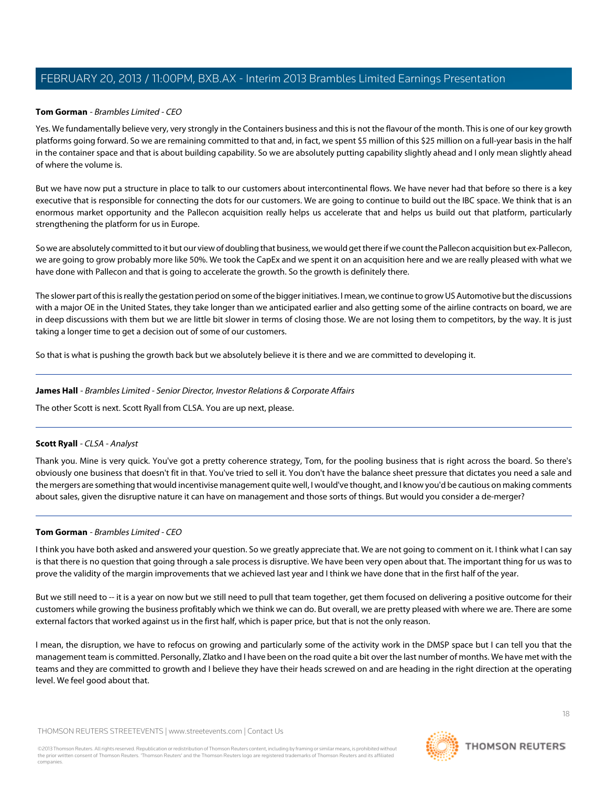## **Tom Gorman** - Brambles Limited - CEO

Yes. We fundamentally believe very, very strongly in the Containers business and this is not the flavour of the month. This is one of our key growth platforms going forward. So we are remaining committed to that and, in fact, we spent \$5 million of this \$25 million on a full-year basis in the half in the container space and that is about building capability. So we are absolutely putting capability slightly ahead and I only mean slightly ahead of where the volume is.

But we have now put a structure in place to talk to our customers about intercontinental flows. We have never had that before so there is a key executive that is responsible for connecting the dots for our customers. We are going to continue to build out the IBC space. We think that is an enormous market opportunity and the Pallecon acquisition really helps us accelerate that and helps us build out that platform, particularly strengthening the platform for us in Europe.

So we are absolutely committed to it but our view of doubling that business, we would get there if we count the Pallecon acquisition but ex-Pallecon, we are going to grow probably more like 50%. We took the CapEx and we spent it on an acquisition here and we are really pleased with what we have done with Pallecon and that is going to accelerate the growth. So the growth is definitely there.

The slower part of this is really the gestation period on some of the bigger initiatives. I mean, we continue to grow US Automotive but the discussions with a major OE in the United States, they take longer than we anticipated earlier and also getting some of the airline contracts on board, we are in deep discussions with them but we are little bit slower in terms of closing those. We are not losing them to competitors, by the way. It is just taking a longer time to get a decision out of some of our customers.

So that is what is pushing the growth back but we absolutely believe it is there and we are committed to developing it.

#### **James Hall** - Brambles Limited - Senior Director, Investor Relations & Corporate Affairs

<span id="page-17-0"></span>The other Scott is next. Scott Ryall from CLSA. You are up next, please.

# **Scott Ryall** - CLSA - Analyst

Thank you. Mine is very quick. You've got a pretty coherence strategy, Tom, for the pooling business that is right across the board. So there's obviously one business that doesn't fit in that. You've tried to sell it. You don't have the balance sheet pressure that dictates you need a sale and the mergers are something that would incentivise management quite well, I would've thought, and I know you'd be cautious on making comments about sales, given the disruptive nature it can have on management and those sorts of things. But would you consider a de-merger?

# **Tom Gorman** - Brambles Limited - CEO

I think you have both asked and answered your question. So we greatly appreciate that. We are not going to comment on it. I think what I can say is that there is no question that going through a sale process is disruptive. We have been very open about that. The important thing for us was to prove the validity of the margin improvements that we achieved last year and I think we have done that in the first half of the year.

But we still need to -- it is a year on now but we still need to pull that team together, get them focused on delivering a positive outcome for their customers while growing the business profitably which we think we can do. But overall, we are pretty pleased with where we are. There are some external factors that worked against us in the first half, which is paper price, but that is not the only reason.

I mean, the disruption, we have to refocus on growing and particularly some of the activity work in the DMSP space but I can tell you that the management team is committed. Personally, Zlatko and I have been on the road quite a bit over the last number of months. We have met with the teams and they are committed to growth and I believe they have their heads screwed on and are heading in the right direction at the operating level. We feel good about that.

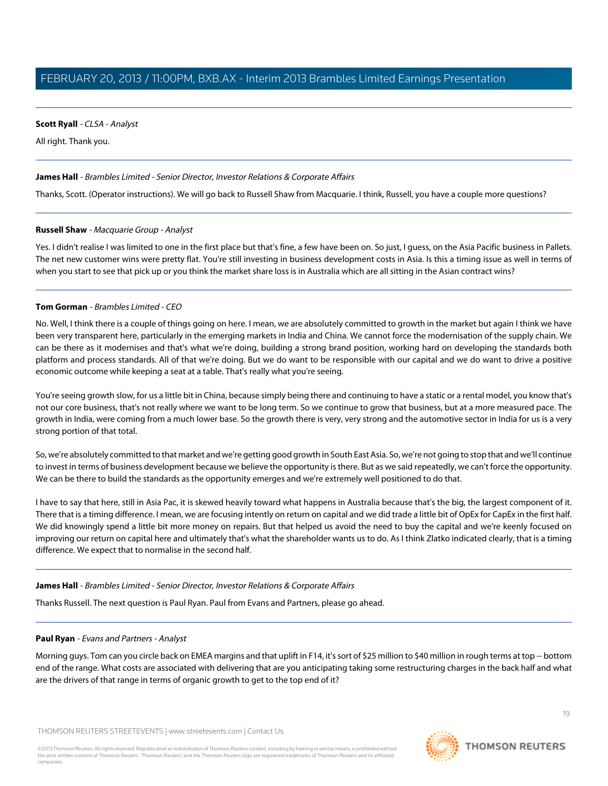# **Scott Ryall** - CLSA - Analyst

All right. Thank you.

## **James Hall** - Brambles Limited - Senior Director, Investor Relations & Corporate Affairs

Thanks, Scott. (Operator instructions). We will go back to Russell Shaw from Macquarie. I think, Russell, you have a couple more questions?

#### **Russell Shaw** - Macquarie Group - Analyst

Yes. I didn't realise I was limited to one in the first place but that's fine, a few have been on. So just, I quess, on the Asia Pacific business in Pallets. The net new customer wins were pretty flat. You're still investing in business development costs in Asia. Is this a timing issue as well in terms of when you start to see that pick up or you think the market share loss is in Australia which are all sitting in the Asian contract wins?

#### **Tom Gorman** - Brambles Limited - CEO

No. Well, I think there is a couple of things going on here. I mean, we are absolutely committed to growth in the market but again I think we have been very transparent here, particularly in the emerging markets in India and China. We cannot force the modernisation of the supply chain. We can be there as it modernises and that's what we're doing, building a strong brand position, working hard on developing the standards both platform and process standards. All of that we're doing. But we do want to be responsible with our capital and we do want to drive a positive economic outcome while keeping a seat at a table. That's really what you're seeing.

You're seeing growth slow, for us a little bit in China, because simply being there and continuing to have a static or a rental model, you know that's not our core business, that's not really where we want to be long term. So we continue to grow that business, but at a more measured pace. The growth in India, were coming from a much lower base. So the growth there is very, very strong and the automotive sector in India for us is a very strong portion of that total.

So, we're absolutely committed to that market and we're getting good growth in South East Asia. So, we're not going to stop that and we'll continue to invest in terms of business development because we believe the opportunity is there. But as we said repeatedly, we can't force the opportunity. We can be there to build the standards as the opportunity emerges and we're extremely well positioned to do that.

I have to say that here, still in Asia Pac, it is skewed heavily toward what happens in Australia because that's the big, the largest component of it. There that is a timing difference. I mean, we are focusing intently on return on capital and we did trade a little bit of OpEx for CapEx in the first half. We did knowingly spend a little bit more money on repairs. But that helped us avoid the need to buy the capital and we're keenly focused on improving our return on capital here and ultimately that's what the shareholder wants us to do. As I think Zlatko indicated clearly, that is a timing difference. We expect that to normalise in the second half.

#### <span id="page-18-0"></span>**James Hall** - Brambles Limited - Senior Director, Investor Relations & Corporate Affairs

Thanks Russell. The next question is Paul Ryan. Paul from Evans and Partners, please go ahead.

# **Paul Ryan** - Evans and Partners - Analyst

Morning guys. Tom can you circle back on EMEA margins and that uplift in F14, it's sort of \$25 million to \$40 million in rough terms at top -- bottom end of the range. What costs are associated with delivering that are you anticipating taking some restructuring charges in the back half and what are the drivers of that range in terms of organic growth to get to the top end of it?

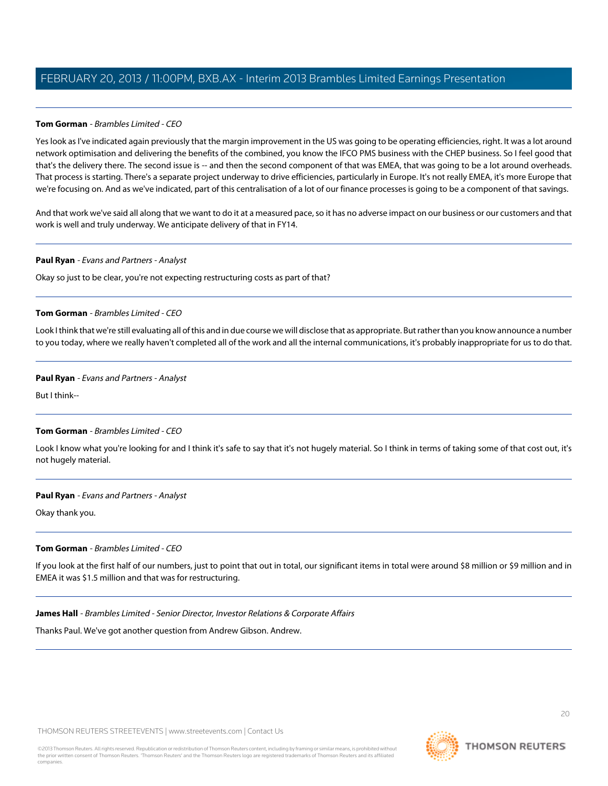## **Tom Gorman** - Brambles Limited - CEO

Yes look as I've indicated again previously that the margin improvement in the US was going to be operating efficiencies, right. It was a lot around network optimisation and delivering the benefits of the combined, you know the IFCO PMS business with the CHEP business. So I feel good that that's the delivery there. The second issue is -- and then the second component of that was EMEA, that was going to be a lot around overheads. That process is starting. There's a separate project underway to drive efficiencies, particularly in Europe. It's not really EMEA, it's more Europe that we're focusing on. And as we've indicated, part of this centralisation of a lot of our finance processes is going to be a component of that savings.

And that work we've said all along that we want to do it at a measured pace, so it has no adverse impact on our business or our customers and that work is well and truly underway. We anticipate delivery of that in FY14.

#### **Paul Ryan** - Evans and Partners - Analyst

Okay so just to be clear, you're not expecting restructuring costs as part of that?

#### **Tom Gorman** - Brambles Limited - CEO

Look I think that we're still evaluating all of this and in due course we will disclose that as appropriate. But rather than you know announce a number to you today, where we really haven't completed all of the work and all the internal communications, it's probably inappropriate for us to do that.

#### **Paul Ryan** - Evans and Partners - Analyst

But I think--

#### **Tom Gorman** - Brambles Limited - CEO

Look I know what you're looking for and I think it's safe to say that it's not hugely material. So I think in terms of taking some of that cost out, it's not hugely material.

#### **Paul Ryan** - Evans and Partners - Analyst

Okay thank you.

#### **Tom Gorman** - Brambles Limited - CEO

If you look at the first half of our numbers, just to point that out in total, our significant items in total were around \$8 million or \$9 million and in EMEA it was \$1.5 million and that was for restructuring.

#### **James Hall** - Brambles Limited - Senior Director, Investor Relations & Corporate Affairs

Thanks Paul. We've got another question from Andrew Gibson. Andrew.

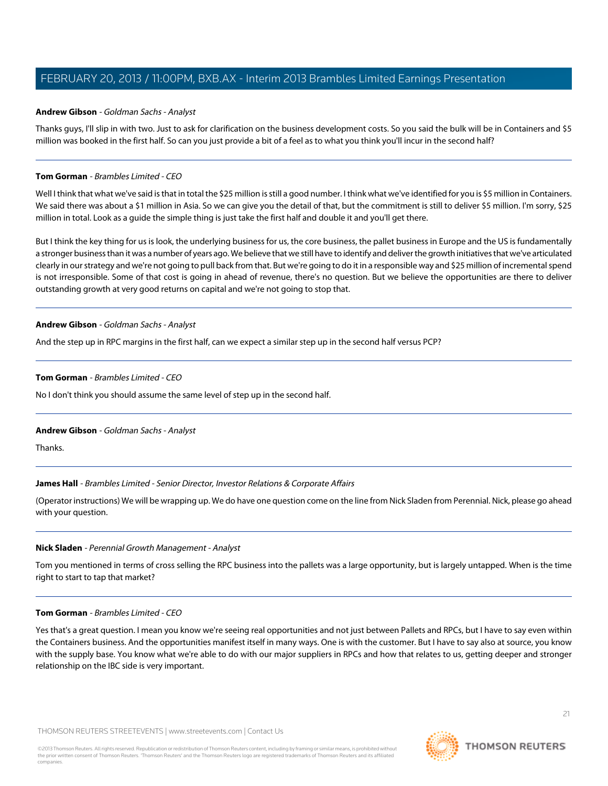#### **Andrew Gibson** - Goldman Sachs - Analyst

Thanks guys, I'll slip in with two. Just to ask for clarification on the business development costs. So you said the bulk will be in Containers and \$5 million was booked in the first half. So can you just provide a bit of a feel as to what you think you'll incur in the second half?

#### **Tom Gorman** - Brambles Limited - CEO

Well I think that what we've said is that in total the \$25 million is still a good number. I think what we've identified for you is \$5 million in Containers. We said there was about a \$1 million in Asia. So we can give you the detail of that, but the commitment is still to deliver \$5 million. I'm sorry, \$25 million in total. Look as a guide the simple thing is just take the first half and double it and you'll get there.

But I think the key thing for us is look, the underlying business for us, the core business, the pallet business in Europe and the US is fundamentally a stronger business than it was a number of years ago. We believe that we still have to identify and deliver the growth initiatives that we've articulated clearly in our strategy and we're not going to pull back from that. But we're going to do it in a responsible way and \$25 million of incremental spend is not irresponsible. Some of that cost is going in ahead of revenue, there's no question. But we believe the opportunities are there to deliver outstanding growth at very good returns on capital and we're not going to stop that.

#### **Andrew Gibson** - Goldman Sachs - Analyst

And the step up in RPC margins in the first half, can we expect a similar step up in the second half versus PCP?

#### **Tom Gorman** - Brambles Limited - CEO

No I don't think you should assume the same level of step up in the second half.

#### **Andrew Gibson** - Goldman Sachs - Analyst

Thanks.

#### **James Hall** - Brambles Limited - Senior Director, Investor Relations & Corporate Affairs

<span id="page-20-0"></span>(Operator instructions) We will be wrapping up. We do have one question come on the line from Nick Sladen from Perennial. Nick, please go ahead with your question.

#### **Nick Sladen** - Perennial Growth Management - Analyst

Tom you mentioned in terms of cross selling the RPC business into the pallets was a large opportunity, but is largely untapped. When is the time right to start to tap that market?

#### **Tom Gorman** - Brambles Limited - CEO

Yes that's a great question. I mean you know we're seeing real opportunities and not just between Pallets and RPCs, but I have to say even within the Containers business. And the opportunities manifest itself in many ways. One is with the customer. But I have to say also at source, you know with the supply base. You know what we're able to do with our major suppliers in RPCs and how that relates to us, getting deeper and stronger relationship on the IBC side is very important.